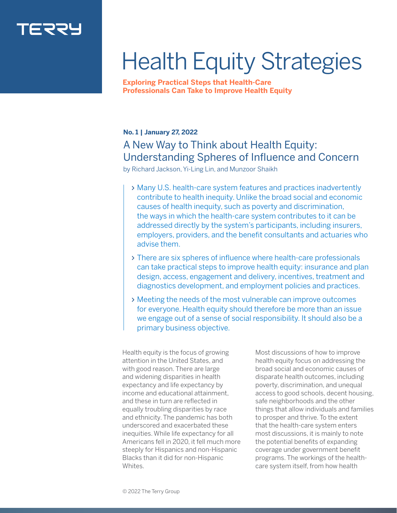

# Health Equity Strategies

**Exploring Practical Steps that Health-Care Professionals Can Take to Improve Health Equity**

## **No. 1 | January 27, 2022**

# A New Way to Think about Health Equity: Understanding Spheres of Influence and Concern

by Richard Jackson, Yi-Ling Lin, and Munzoor Shaikh

- Many U.S. health-care system features and practices inadvertently contribute to health inequity. Unlike the broad social and economic causes of health inequity, such as poverty and discrimination, the ways in which the health-care system contributes to it can be addressed directly by the system's participants, including insurers, employers, providers, and the benefit consultants and actuaries who advise them.
- There are six spheres of influence where health-care professionals can take practical steps to improve health equity: insurance and plan design, access, engagement and delivery, incentives, treatment and diagnostics development, and employment policies and practices.
- Meeting the needs of the most vulnerable can improve outcomes for everyone. Health equity should therefore be more than an issue we engage out of a sense of social responsibility. It should also be a primary business objective.

Health equity is the focus of growing attention in the United States, and with good reason. There are large and widening disparities in health expectancy and life expectancy by income and educational attainment, and these in turn are reflected in equally troubling disparities by race and ethnicity. The pandemic has both underscored and exacerbated these inequities. While life expectancy for all Americans fell in 2020, it fell much more steeply for Hispanics and non-Hispanic Blacks than it did for non-Hispanic Whites.

Most discussions of how to improve health equity focus on addressing the broad social and economic causes of disparate health outcomes, including poverty, discrimination, and unequal access to good schools, decent housing, safe neighborhoods and the other things that allow individuals and families to prosper and thrive. To the extent that the health-care system enters most discussions, it is mainly to note the potential benefits of expanding coverage under government benefit programs. The workings of the healthcare system itself, from how health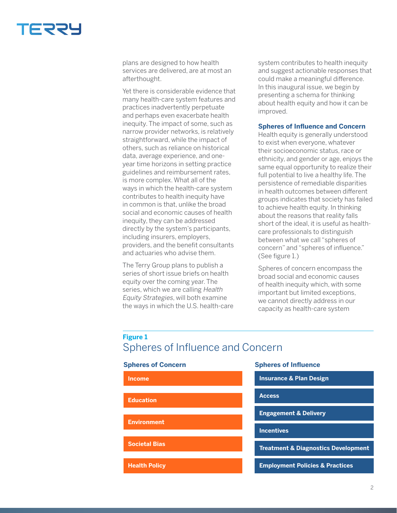

plans are designed to how health services are delivered, are at most an afterthought.

Yet there is considerable evidence that many health-care system features and practices inadvertently perpetuate and perhaps even exacerbate health inequity. The impact of some, such as narrow provider networks, is relatively straightforward, while the impact of others, such as reliance on historical data, average experience, and oneyear time horizons in setting practice guidelines and reimbursement rates, is more complex. What all of the ways in which the health-care system contributes to health inequity have in common is that, unlike the broad social and economic causes of health inequity, they can be addressed directly by the system's participants, including insurers, employers, providers, and the benefit consultants and actuaries who advise them.

The Terry Group plans to publish a series of short issue briefs on health equity over the coming year. The series, which we are calling Health Equity Strategies, will both examine the ways in which the U.S. health-care

system contributes to health inequity and suggest actionable responses that could make a meaningful difference. In this inaugural issue, we begin by presenting a schema for thinking about health equity and how it can be improved.

#### **Spheres of Influence and Concern**

Health equity is generally understood to exist when everyone, whatever their socioeconomic status, race or ethnicity, and gender or age, enjoys the same equal opportunity to realize their full potential to live a healthy life. The persistence of remediable disparities in health outcomes between different groups indicates that society has failed to achieve health equity. In thinking about the reasons that reality falls short of the ideal, it is useful as healthcare professionals to distinguish between what we call "spheres of concern" and "spheres of influence." (See figure 1.)

Spheres of concern encompass the broad social and economic causes of health inequity which, with some important but limited exceptions, we cannot directly address in our capacity as health-care system

## **Figure 1** Spheres of Influence and Concern

Spheres of Influence and Concern

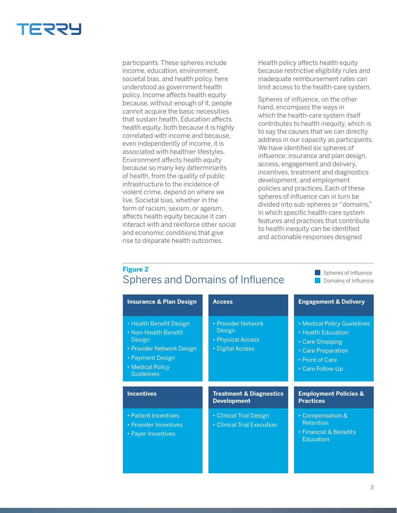

participants. These spheres include income, education, environment, societal bias, and health policy, here understood as government health policy. Income affects health equity because, without enough of it, people cannot acquire the basic necessities that sustain health. Education affects health equity, both because it is highly correlated with income and because, even independently of income, it is associated with healthier lifestyles. Environment affects health equity because so many key determinants of health, from the quality of public infrastructure to the incidence of violent crime, depend on where we live. Societal bias, whether in the form of racism, sexism, or ageism, affects health equity because it can interact with and reinforce other social and economic conditions that give rise to disparate health outcomes.

Health policy affects health equity because restrictive eligibility rules and inadequate reimbursement rates can limit access to the health-care system.

Spheres of influence, on the other hand, encompass the ways in which the health-care system itself contributes to health inequity, which is to say the causes that we can directly address in our capacity as participants. We have identified six spheres of influence: insurance and plan design, access, engagement and delivery, incentives, treatment and diagnostics development, and employment policies and practices. Each of these spheres of influence can in turn be divided into sub-spheres or "domains," in which specific health-care system features and practices that contribute to health inequity can be identified and actionable responses designed

Domains of Influence

## **Figure 2 Spheres and Domains of Influence Spheres of Influence** Spheres of Influence

| <b>Insurance &amp; Plan Design</b>                                                                                                                  | <b>Access</b>                                                         | <b>Engagement &amp; Delivery</b>                                                                                                  |
|-----------------------------------------------------------------------------------------------------------------------------------------------------|-----------------------------------------------------------------------|-----------------------------------------------------------------------------------------------------------------------------------|
| • Health Benefit Design<br>• Non-Health Benefit<br>Design<br>• Provider Network Design<br>• Payment Design<br>• Medical Policy<br><b>Guidelines</b> | • Provider Network<br>Design<br>• Physical Access<br>• Digital Access | • Medical Policy Guidelines<br>• Health Education<br>• Care Shopping<br>• Care Preparation<br>• Point of Care<br>• Care Follow-Up |
|                                                                                                                                                     |                                                                       |                                                                                                                                   |
| <b>Incentives</b>                                                                                                                                   | <b>Treatment &amp; Diagnostics</b><br><b>Development</b>              | <b>Employment Policies &amp;</b><br><b>Practices</b>                                                                              |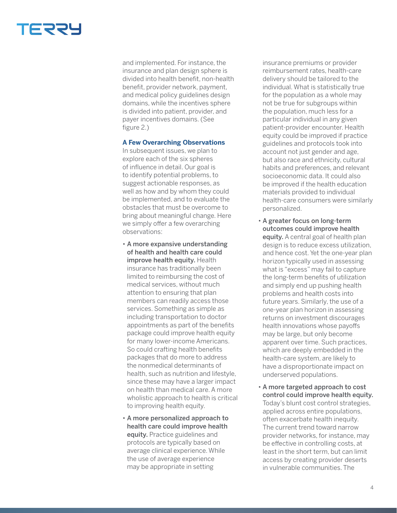

and implemented. For instance, the insurance and plan design sphere is divided into health benefit, non-health benefit, provider network, payment, and medical policy guidelines design domains, while the incentives sphere is divided into patient, provider, and payer incentives domains. (See figure 2.)

### **A Few Overarching Observations**

In subsequent issues, we plan to explore each of the six spheres of influence in detail. Our goal is to identify potential problems, to suggest actionable responses, as well as how and by whom they could be implemented, and to evaluate the obstacles that must be overcome to bring about meaningful change. Here we simply offer a few overarching observations:

- A more expansive understanding of health and health care could improve health equity. Health insurance has traditionally been limited to reimbursing the cost of medical services, without much attention to ensuring that plan members can readily access those services. Something as simple as including transportation to doctor appointments as part of the benefits package could improve health equity for many lower-income Americans. So could crafting health benefits packages that do more to address the nonmedical determinants of health, such as nutrition and lifestyle, since these may have a larger impact on health than medical care. A more wholistic approach to health is critical to improving health equity.
- A more personalized approach to health care could improve health equity. Practice guidelines and protocols are typically based on average clinical experience. While the use of average experience may be appropriate in setting

insurance premiums or provider reimbursement rates, health-care delivery should be tailored to the individual. What is statistically true for the population as a whole may not be true for subgroups within the population, much less for a particular individual in any given patient-provider encounter. Health equity could be improved if practice guidelines and protocols took into account not just gender and age, but also race and ethnicity, cultural habits and preferences, and relevant socioeconomic data. It could also be improved if the health education materials provided to individual health-care consumers were similarly personalized.

- A greater focus on long-term outcomes could improve health equity. A central goal of health plan design is to reduce excess utilization, and hence cost. Yet the one-year plan horizon typically used in assessing what is "excess" may fail to capture the long-term benefits of utilization and simply end up pushing health problems and health costs into future years. Similarly, the use of a one-year plan horizon in assessing returns on investment discourages health innovations whose payoffs may be large, but only become apparent over time. Such practices, which are deeply embedded in the health-care system, are likely to have a disproportionate impact on underserved populations.
- A more targeted approach to cost control could improve health equity. Today's blunt cost control strategies, applied across entire populations, often exacerbate health inequity. The current trend toward narrow provider networks, for instance, may be effective in controlling costs, at least in the short term, but can limit access by creating provider deserts in vulnerable communities. The